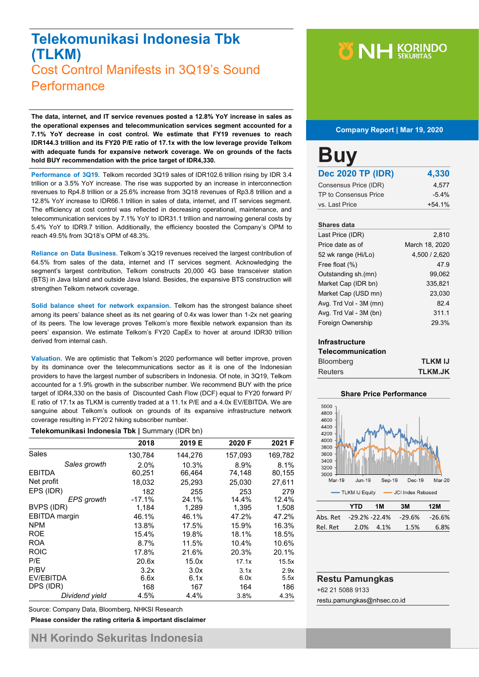### **Telekomunikasi Indonesia Tbk (TLKM)** Cost Control Manifests in 3Q19's Sound **Performance**

**The data, internet, and IT service revenues posted a 12.8% YoY increase in sales as the operational expenses and telecommunication services segment accounted for a 7.1% YoY decrease in cost control. We estimate that FY19 revenues to reach IDR144.3 trillion and its FY20 P/E ratio of 17.1x with the low leverage provide Telkom with adequate funds for expansive network coverage. We on grounds of the facts hold BUY recommendation with the price target of IDR4,330.**

**Performance of 3Q19.** Telkom recorded 3Q19 sales of IDR102.6 trillion rising by IDR 3.4 trillion or a 3.5% YoY increase. The rise was supported by an increase in interconnection revenues to Rp4.8 trillion or a 25.6% increase from 3Q18 revenues of Rp3.8 trillion and a 12.8% YoY increase to IDR66.1 trillion in sales of data, internet, and IT services segment. The efficiency at cost control was reflected in decreasing operational, maintenance, and telecommunication services by 7.1% YoY to IDR31.1 trillion and narrowing general costs by 5.4% YoY to IDR9.7 trillion. Additionally, the efficiency boosted the Company's OPM to reach 49.5% from 3Q18's OPM of 48.3%.

**Reliance on Data Business**. Telkom's 3Q19 revenues received the largest contribution of 64.5% from sales of the data, internet and IT services segment. Acknowledging the segment's largest contribution, Telkom constructs 20,000 4G base transceiver station (BTS) in Java Island and outside Java Island. Besides, the expansive BTS construction will strengthen Telkom network coverage.

**Solid balance sheet for network expansion.** Telkom has the strongest balance sheet among its peers' balance sheet as its net gearing of 0.4x was lower than 1-2x net gearing of its peers. The low leverage proves Telkom's more flexible network expansion than its peers' expansion. We estimate Telkom's FY20 CapEx to hover at around IDR30 trillion derived from internal cash.

**Valuation.** We are optimistic that Telkom's 2020 performance will better improve, proven by its dominance over the telecommunications sector as it is one of the Indonesian providers to have the largest number of subscribers in Indonesia. Of note, in 3Q19, Telkom accounted for a 1.9% growth in the subscriber number. We recommend BUY with the price target of IDR4,330 on the basis of Discounted Cash Flow (DCF) equal to FY20 forward P/ E ratio of 17.1x as TLKM is currently traded at a 11.1x P/E and a 4.0x EV/EBITDA. We are sanguine about Telkom's outlook on grounds of its expansive infrastructure network coverage resulting in FY20'2 hiking subscriber number.

#### **Telekomunikasi Indonesia Tbk |** Summary (IDR bn)

|                      | 2018     | 2019 E  | 2020 F  | 2021 F  |
|----------------------|----------|---------|---------|---------|
| Sales                | 130,784  | 144,276 | 157,093 | 169,782 |
| Sales growth         | 2.0%     | 10.3%   | 8.9%    | 8.1%    |
| <b>EBITDA</b>        | 60,251   | 66,464  | 74,148  | 80,155  |
| Net profit           | 18,032   | 25,293  | 25,030  | 27.611  |
| EPS (IDR)            | 182      | 255     | 253     | 279     |
| <b>EPS</b> growth    | $-17.1%$ | 24.1%   | 14.4%   | 12.4%   |
| BVPS (IDR)           | 1,184    | 1,289   | 1,395   | 1,508   |
| <b>EBITDA</b> margin | 46.1%    | 46.1%   | 47.2%   | 47.2%   |
| <b>NPM</b>           | 13.8%    | 17.5%   | 15.9%   | 16.3%   |
| <b>ROE</b>           | 15.4%    | 19.8%   | 18.1%   | 18.5%   |
| <b>ROA</b>           | 8.7%     | 11.5%   | 10.4%   | 10.6%   |
| <b>ROIC</b>          | 17.8%    | 21.6%   | 20.3%   | 20.1%   |
| P/E                  | 20.6x    | 15.0x   | 17.1x   | 15.5x   |
| P/BV                 | 3.2x     | 3.0x    | 3.1x    | 2.9x    |
| EV/EBITDA            | 6.6x     | 6.1x    | 6.0x    | 5.5x    |
| DPS (IDR)            | 168      | 167     | 164     | 186     |
| Dividend yield       | 4.5%     | 4.4%    | 3.8%    | 4.3%    |

Source: Company Data, Bloomberg, NHKSI Research

**Please consider the rating criteria & important disclaimer**

#### **Company Report | Mar 19, 2020**

| <b>Buy</b>               |          |
|--------------------------|----------|
| <b>Dec 2020 TP (IDR)</b> | 4,330    |
| Consensus Price (IDR)    | 4.577    |
| TP to Consensus Price    | $-5.4%$  |
| vs. Last Price           | $+54.1%$ |
|                          |          |

#### **Shares data**

| Last Price (IDR)       | 2,810          |
|------------------------|----------------|
| Price date as of       | March 18, 2020 |
| 52 wk range (Hi/Lo)    | 4,500 / 2,620  |
| Free float (%)         | 47.9           |
| Outstanding sh.(mn)    | 99,062         |
| Market Cap (IDR bn)    | 335,821        |
| Market Cap (USD mn)    | 23,030         |
| Avg. Trd Vol - 3M (mn) | 824            |
| Avg. Trd Val - 3M (bn) | 311.1          |
| Foreign Ownership      | 29.3%          |

#### **Infrastructure**

| <b>Telecommunication</b> |                |
|--------------------------|----------------|
| <b>Bloomberg</b>         | <b>TLKM IJ</b> |
| <b>Reuters</b>           | <b>TLKM.JK</b> |





| YTD | 1M | 3M        | 12M                           |
|-----|----|-----------|-------------------------------|
|     |    |           | $-26.6%$                      |
|     |    | 1.5%      | 6.8%                          |
|     |    | 2.0% 4.1% | Abs. Ret -29.2% -22.4% -29.6% |

### **Restu Pamungkas** +62 21 5088 9133

restu.pamungkas@nhsec.co.id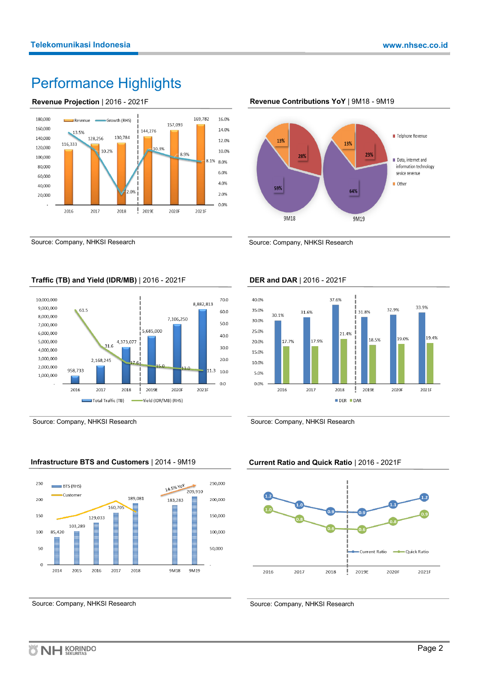# Performance Highlights





Source: Company, NHKSI Research



**Revenue Contributions YoY** | 9M18 - 9M19

Source: Company, NHKSI Research

### **Traffic (TB) and Yield (IDR/MB)** | 2016 - 2021F



Source: Company, NHKSI Research

### **Infrastructure BTS and Customers** | 2014 - 9M19



Source: Company, NHKSI Research

### **DER and DAR** | 2016 - 2021F



Source: Company, NHKSI Research

#### **Current Ratio and Quick Ratio** | 2016 - 2021F



Source: Company, NHKSI Research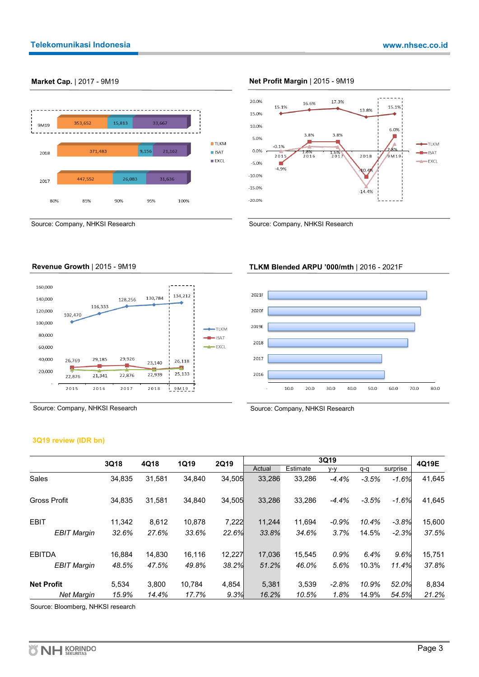

#### **Market Cap.** | 2017 - 9M19 **Net Profit Margin** | 2015 - 9M19



Source: Company, NHKSI Research Source: Company, NHKSI Research

#### **Revenue Growth** | 2015 - 9M19



Source: Company, NHKSI Research

#### **3Q19 review (IDR bn)**

|                     | 3Q18   | 4Q18   | <b>1Q19</b> | 2Q19   |        |          | 3Q19    |         |          | 4Q19E  |
|---------------------|--------|--------|-------------|--------|--------|----------|---------|---------|----------|--------|
|                     |        |        |             |        | Actual | Estimate | y-y     | $q - q$ | surprise |        |
| <b>Sales</b>        | 34.835 | 31,581 | 34,840      | 34.505 | 33,286 | 33,286   | $-4.4%$ | $-3.5%$ | $-1.6%$  | 41,645 |
| <b>Gross Profit</b> | 34.835 | 31,581 | 34.840      | 34,505 | 33,286 | 33.286   | $-4.4%$ | $-3.5%$ | $-1.6%$  | 41,645 |
| <b>EBIT</b>         | 11.342 | 8,612  | 10.878      | 7,222  | 11,244 | 11.694   | $-0.9%$ | 10.4%   | $-3.8%$  | 15,600 |
| <b>EBIT Margin</b>  | 32.6%  | 27.6%  | 33.6%       | 22.6%  | 33.8%  | 34.6%    | 3.7%    | 14.5%   | $-2.3%$  | 37.5%  |
| <b>EBITDA</b>       | 16.884 | 14,830 | 16,116      | 12,227 | 17,036 | 15,545   | 0.9%    | 6.4%    | 9.6%     | 15,751 |
| <b>EBIT Margin</b>  | 48.5%  | 47.5%  | 49.8%       | 38.2%  | 51.2%  | 46.0%    | 5.6%    | 10.3%   | 11.4%    | 37.8%  |
| <b>Net Profit</b>   | 5.534  | 3.800  | 10.784      | 4,854  | 5,381  | 3,539    | $-2.8%$ | 10.9%   | 52.0%    | 8,834  |
| <b>Net Margin</b>   | 15.9%  | 14.4%  | 17.7%       | 9.3%   | 16.2%  | 10.5%    | 1.8%    | 14.9%   | 54.5%    | 21.2%  |

Source: Bloomberg, NHKSI research

### **TLKM Blended ARPU '000/mth** | 2016 - 2021F



Source: Company, NHKSI Research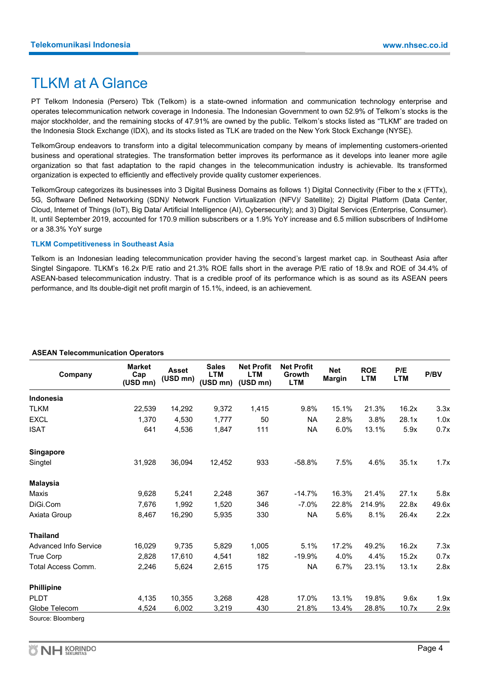# TLKM at A Glance

PT Telkom Indonesia (Persero) Tbk (Telkom) is a state-owned information and communication technology enterprise and operates telecommunication network coverage in Indonesia. The Indonesian Government to own 52.9% of Telkom's stocks is the major stockholder, and the remaining stocks of 47.91% are owned by the public. Telkom's stocks listed as "TLKM" are traded on the Indonesia Stock Exchange (IDX), and its stocks listed as TLK are traded on the New York Stock Exchange (NYSE).

TelkomGroup endeavors to transform into a digital telecommunication company by means of implementing customers-oriented business and operational strategies. The transformation better improves its performance as it develops into leaner more agile organization so that fast adaptation to the rapid changes in the telecommunication industry is achievable. Its transformed organization is expected to efficiently and effectively provide quality customer experiences.

TelkomGroup categorizes its businesses into 3 Digital Business Domains as follows 1) Digital Connectivity (Fiber to the x (FTTx), 5G, Software Defined Networking (SDN)/ Network Function Virtualization (NFV)/ Satellite); 2) Digital Platform (Data Center, Cloud, Internet of Things (IoT), Big Data/ Artificial Intelligence (AI), Cybersecurity); and 3) Digital Services (Enterprise, Consumer). It, until September 2019, accounted for 170.9 million subscribers or a 1.9% YoY increase and 6.5 million subscribers of IndiHome or a 38.3% YoY surge

#### **TLKM Competitiveness in Southeast Asia**

Telkom is an Indonesian leading telecommunication provider having the second's largest market cap. in Southeast Asia after Singtel Singapore. TLKM's 16.2x P/E ratio and 21.3% ROE falls short in the average P/E ratio of 18.9x and ROE of 34.4% of ASEAN-based telecommunication industry. That is a credible proof of its performance which is as sound as its ASEAN peers performance, and Its double-digit net profit margin of 15.1%, indeed, is an achievement.

| Company                      | <b>Market</b><br>Cap<br>(USD mn) | <b>Asset</b><br>(USD mn) | <b>Sales</b><br><b>LTM</b><br>(USD mn) | <b>Net Profit</b><br><b>LTM</b><br>(USD mn) | <b>Net Profit</b><br>Growth<br><b>LTM</b> | <b>Net</b><br><b>Margin</b> | <b>ROE</b><br><b>LTM</b> | P/E<br><b>LTM</b> | P/BV  |
|------------------------------|----------------------------------|--------------------------|----------------------------------------|---------------------------------------------|-------------------------------------------|-----------------------------|--------------------------|-------------------|-------|
| <b>Indonesia</b>             |                                  |                          |                                        |                                             |                                           |                             |                          |                   |       |
| <b>TLKM</b>                  | 22,539                           | 14,292                   | 9,372                                  | 1,415                                       | 9.8%                                      | 15.1%                       | 21.3%                    | 16.2x             | 3.3x  |
| <b>EXCL</b>                  | 1,370                            | 4,530                    | 1,777                                  | 50                                          | <b>NA</b>                                 | 2.8%                        | 3.8%                     | 28.1x             | 1.0x  |
| <b>ISAT</b>                  | 641                              | 4,536                    | 1,847                                  | 111                                         | <b>NA</b>                                 | 6.0%                        | 13.1%                    | 5.9x              | 0.7x  |
| <b>Singapore</b>             |                                  |                          |                                        |                                             |                                           |                             |                          |                   |       |
| Singtel                      | 31,928                           | 36,094                   | 12,452                                 | 933                                         | $-58.8%$                                  | 7.5%                        | 4.6%                     | 35.1x             | 1.7x  |
| <b>Malaysia</b>              |                                  |                          |                                        |                                             |                                           |                             |                          |                   |       |
| Maxis                        | 9,628                            | 5,241                    | 2,248                                  | 367                                         | $-14.7%$                                  | 16.3%                       | 21.4%                    | 27.1x             | 5.8x  |
| DiGi.Com                     | 7,676                            | 1,992                    | 1,520                                  | 346                                         | $-7.0%$                                   | 22.8%                       | 214.9%                   | 22.8x             | 49.6x |
| Axiata Group                 | 8,467                            | 16,290                   | 5,935                                  | 330                                         | <b>NA</b>                                 | 5.6%                        | 8.1%                     | 26.4x             | 2.2x  |
| <b>Thailand</b>              |                                  |                          |                                        |                                             |                                           |                             |                          |                   |       |
| <b>Advanced Info Service</b> | 16,029                           | 9,735                    | 5,829                                  | 1,005                                       | 5.1%                                      | 17.2%                       | 49.2%                    | 16.2x             | 7.3x  |
| <b>True Corp</b>             | 2,828                            | 17,610                   | 4,541                                  | 182                                         | $-19.9%$                                  | 4.0%                        | 4.4%                     | 15.2x             | 0.7x  |
| Total Access Comm.           | 2,246                            | 5,624                    | 2,615                                  | 175                                         | <b>NA</b>                                 | 6.7%                        | 23.1%                    | 13.1x             | 2.8x  |
| <b>Phillipine</b>            |                                  |                          |                                        |                                             |                                           |                             |                          |                   |       |
| <b>PLDT</b>                  | 4,135                            | 10,355                   | 3,268                                  | 428                                         | 17.0%                                     | 13.1%                       | 19.8%                    | 9.6x              | 1.9x  |
| Globe Telecom                | 4,524                            | 6,002                    | 3,219                                  | 430                                         | 21.8%                                     | 13.4%                       | 28.8%                    | 10.7x             | 2.9x  |
| Source: Bloomberg            |                                  |                          |                                        |                                             |                                           |                             |                          |                   |       |

#### **ASEAN Telecommunication Operators**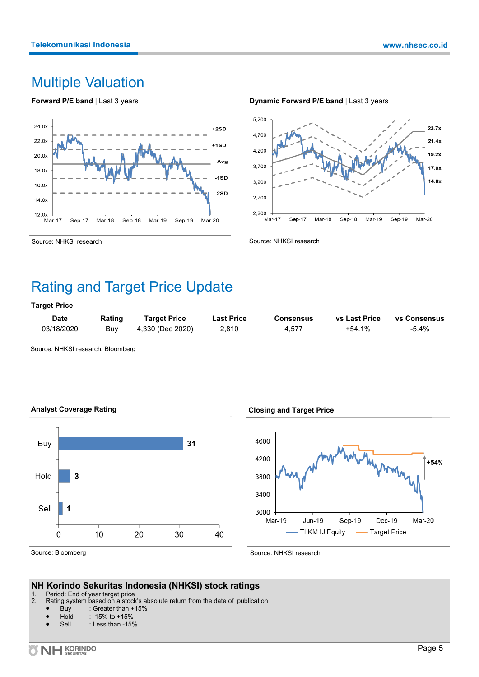# Multiple Valuation

**Forward P/E band** | Last 3 years







Source: NHKSI research

# Rating and Target Price Update

#### **Target Price**

| <b>Date</b> | Rating | <b>Target Price</b> | Last Price | Consensus | vs Last Price | <b>vs Consensus</b> |
|-------------|--------|---------------------|------------|-----------|---------------|---------------------|
| 03/18/2020  | Buv    | 4.330 (Dec 2020)    | 2.810      | 4.577     | +54.1%        | -5.4%               |

Source: NHKSI research, Bloomberg





#### **Closing and Target Price**

Source: NHKSI research



Source: NHKSI research

### **NH Korindo Sekuritas Indonesia (NHKSI) stock ratings**

- 1. Period: End of year target price<br>2. Rating system based on a stock
- Rating system based on a stock's absolute return from the date of publication
	- Buy : Greater than  $+15%$ <br>Hold : -15% to  $+15%$
	- $: -15\%$  to  $+15\%$
	- Sell : Less than -15%